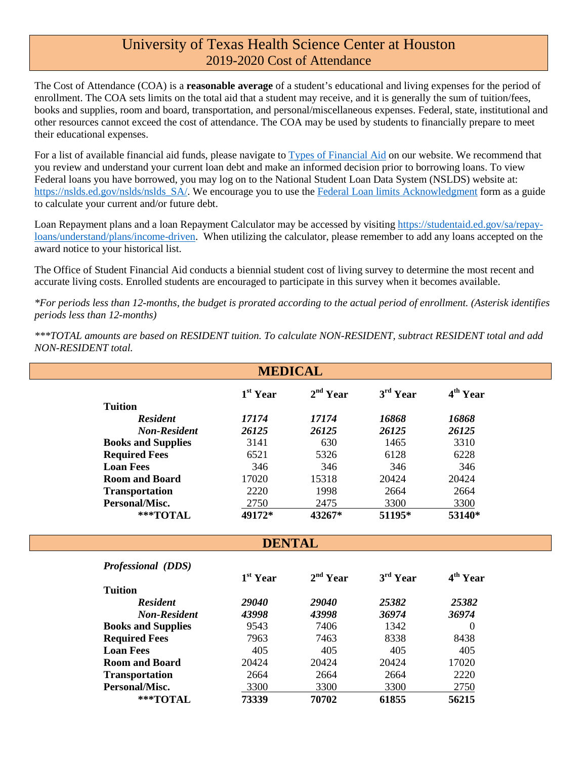### University of Texas Health Science Center at Houston 2019-2020 Cost of Attendance

The Cost of Attendance (COA) is a **reasonable average** of a student's educational and living expenses for the period of enrollment. The COA sets limits on the total aid that a student may receive, and it is generally the sum of tuition/fees, books and supplies, room and board, transportation, and personal/miscellaneous expenses. Federal, state, institutional and other resources cannot exceed the cost of attendance. The COA may be used by students to financially prepare to meet their educational expenses.

For a list of available financial aid funds, please navigate to [Types of Financial Aid](https://www.uth.edu/sfs/index.htm) on our website. We recommend that you review and understand your current loan debt and make an informed decision prior to borrowing loans. To view Federal loans you have borrowed, you may log on to the National Student Loan Data System (NSLDS) website at: [https://nslds.ed.gov/nslds/nslds\\_SA/.](https://nslds.ed.gov/nslds/nslds_SA/) We encourage you to use the [Federal Loan limits Acknowledgment](https://www.uth.edu/sfs/documents/federal_loan_limit_acknowledgment_18-19.pdf) form as a guide to calculate your current and/or future debt.

Loan Repayment plans and a loan Repayment Calculator may be accessed by visiting [https://studentaid.ed.gov/sa/repay](https://studentaid.ed.gov/sa/repay-loans/understand/plans/income-driven)[loans/understand/plans/income-driven.](https://studentaid.ed.gov/sa/repay-loans/understand/plans/income-driven) When utilizing the calculator, please remember to add any loans accepted on the award notice to your historical list.

The Office of Student Financial Aid conducts a biennial student cost of living survey to determine the most recent and accurate living costs. Enrolled students are encouraged to participate in this survey when it becomes available.

*\*For periods less than 12-months, the budget is prorated according to the actual period of enrollment. (Asterisk identifies periods less than 12-months)*

*\*\*\*TOTAL amounts are based on RESIDENT tuition. To calculate NON-RESIDENT, subtract RESIDENT total and add NON-RESIDENT total.*

|                           | <b>MEDICAL</b> |                      |                      |                      |
|---------------------------|----------------|----------------------|----------------------|----------------------|
|                           | $1st$ Year     | 2 <sup>nd</sup> Year | 3 <sup>rd</sup> Year | 4 <sup>th</sup> Year |
| <b>Tuition</b>            |                |                      |                      |                      |
| <b>Resident</b>           | 17174          | 17174                | 16868                | 16868                |
| <b>Non-Resident</b>       | 26125          | 26125                | 26125                | 26125                |
| <b>Books and Supplies</b> | 3141           | 630                  | 1465                 | 3310                 |
| <b>Required Fees</b>      | 6521           | 5326                 | 6128                 | 6228                 |
| <b>Loan Fees</b>          | 346            | 346                  | 346                  | 346                  |
| <b>Room and Board</b>     | 17020          | 15318                | 20424                | 20424                |
| <b>Transportation</b>     | 2220           | 1998                 | 2664                 | 2664                 |
| Personal/Misc.            | 2750           | 2475                 | 3300                 | 3300                 |
| ***TOTAL                  | 49172*         | 43267*               | 51195*               | 53140*               |
| <b>Professional (DDS)</b> | <b>DENTAL</b>  |                      |                      |                      |
|                           | $1st$ Year     | 2 <sup>nd</sup> Year | 3 <sup>rd</sup> Year | 4 <sup>th</sup> Year |
| <b>Tuition</b>            |                |                      |                      |                      |
| <b>Resident</b>           | 29040          | 29040                | 25382                | 25382                |
| <b>Non-Resident</b>       | 43998          | 43998                | 36974                | 36974                |
| <b>Books and Supplies</b> | 9543           | 7406                 | 1342                 | 0                    |
| <b>Required Fees</b>      |                |                      |                      |                      |
|                           | 7963           | 7463                 | 8338                 | 8438                 |
| <b>Loan Fees</b>          | 405            | 405                  | 405                  | 405                  |
| <b>Room and Board</b>     | 20424          | 20424                | 20424                | 17020                |
| <b>Transportation</b>     | 2664           | 2664                 | 2664                 | 2220                 |
| Personal/Misc.            | 3300           | 3300                 | 3300                 | 2750                 |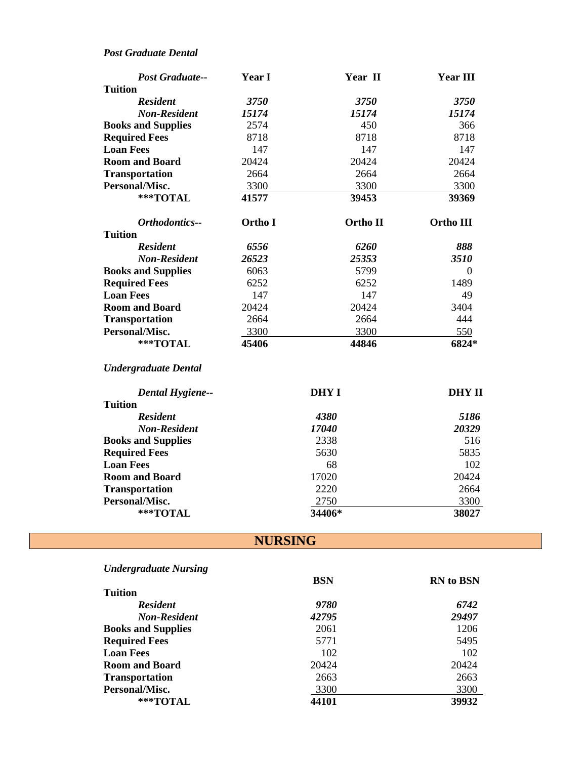#### *Post Graduate Dental*

| <b>Post Graduate--</b>    | <b>Year I</b> | Year II  | <b>Year III</b> |
|---------------------------|---------------|----------|-----------------|
| <b>Tuition</b>            |               |          |                 |
| <b>Resident</b>           | 3750          | 3750     | <b>3750</b>     |
| <b>Non-Resident</b>       | 15174         | 15174    | 15174           |
| <b>Books and Supplies</b> | 2574          | 450      | 366             |
| <b>Required Fees</b>      | 8718          | 8718     | 8718            |
| <b>Loan Fees</b>          | 147           | 147      | 147             |
| <b>Room and Board</b>     | 20424         | 20424    | 20424           |
| <b>Transportation</b>     | 2664          | 2664     | 2664            |
| Personal/Misc.            | 3300          | 3300     | 3300            |
| ***TOTAL                  | 41577         | 39453    | 39369           |
|                           |               |          |                 |
| <b>Orthodontics--</b>     | Ortho I       | Ortho II | Ortho III       |
| <b>Tuition</b>            |               |          |                 |
| <b>Resident</b>           | 6556          | 6260     | 888             |
| <b>Non-Resident</b>       | 26523         | 25353    | 3510            |
| <b>Books and Supplies</b> | 6063          | 5799     | $\Omega$        |
| <b>Required Fees</b>      | 6252          | 6252     | 1489            |
| <b>Loan Fees</b>          | 147           | 147      | 49              |
| <b>Room and Board</b>     | 20424         | 20424    | 3404            |
| <b>Transportation</b>     | 2664          | 2664     | 444             |
| Personal/Misc.            | 3300          | 3300     | 550             |

#### *Undergraduate Dental*

| <b>Dental Hygiene--</b>   | DHY I        | DHY II |
|---------------------------|--------------|--------|
| <b>Tuition</b>            |              |        |
| <b>Resident</b>           | 4380         | 5186   |
| <b>Non-Resident</b>       | <i>17040</i> | 20329  |
| <b>Books and Supplies</b> | 2338         | 516    |
| <b>Required Fees</b>      | 5630         | 5835   |
| <b>Loan Fees</b>          | 68           | 102    |
| <b>Room and Board</b>     | 17020        | 20424  |
| <b>Transportation</b>     | 2220         | 2664   |
| Personal/Misc.            | 2750         | 3300   |
| ***TOTAL                  | 34406*       | 38027  |

## **NURSING**

| <b>Undergraduate Nursing</b> |            |                  |
|------------------------------|------------|------------------|
|                              | <b>BSN</b> | <b>RN</b> to BSN |
| <b>Tuition</b>               |            |                  |
| <b>Resident</b>              | 9780       | 6742             |
| <b>Non-Resident</b>          | 42795      | 29497            |
| <b>Books and Supplies</b>    | 2061       | 1206             |
| <b>Required Fees</b>         | 5771       | 5495             |
| <b>Loan Fees</b>             | 102        | 102              |
| <b>Room and Board</b>        | 20424      | 20424            |
| <b>Transportation</b>        | 2663       | 2663             |
| Personal/Misc.               | 3300       | 3300             |
| $***$ TOTAL                  | 44101      | 39932            |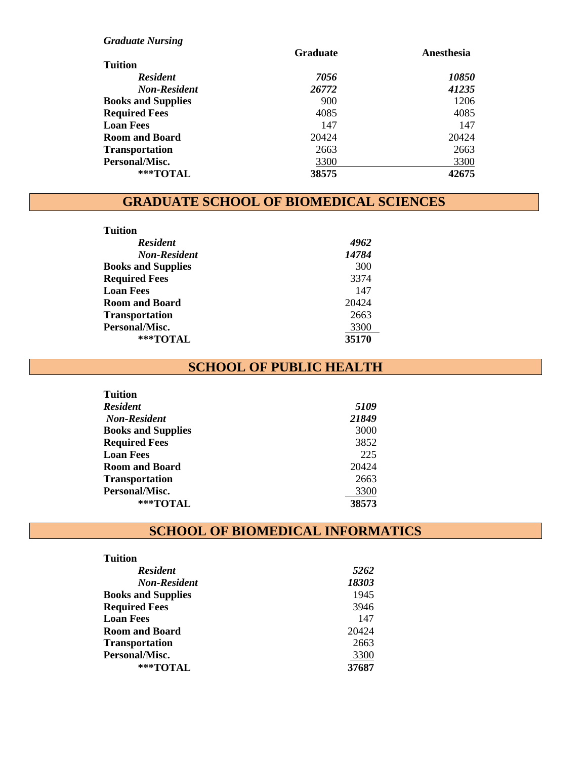| <b>Graduate Nursing</b>   |                 |                     |
|---------------------------|-----------------|---------------------|
|                           | <b>Graduate</b> | Anesthesia          |
| <b>Tuition</b>            |                 |                     |
| <b>Resident</b>           | 7056            | <i><b>10850</b></i> |
| <b>Non-Resident</b>       | 26772           | 41235               |
| <b>Books and Supplies</b> | 900             | 1206                |
| <b>Required Fees</b>      | 4085            | 4085                |
| <b>Loan Fees</b>          | 147             | 147                 |
| <b>Room and Board</b>     | 20424           | 20424               |
| <b>Transportation</b>     | 2663            | 2663                |
| Personal/Misc.            | 3300            | 3300                |
| $***$ TOTAL               | 38575           | 42675               |

## **GRADUATE SCHOOL OF BIOMEDICAL SCIENCES**

| <b>Tuition</b>            |       |
|---------------------------|-------|
| <b>Resident</b>           | 4962  |
| <b>Non-Resident</b>       | 14784 |
| <b>Books and Supplies</b> | 300   |
| <b>Required Fees</b>      | 3374  |
| <b>Loan Fees</b>          | 147   |
| <b>Room and Board</b>     | 20424 |
| <b>Transportation</b>     | 2663  |
| Personal/Misc.            | 3300  |
| $***TOTAI$                | 35170 |

### **SCHOOL OF PUBLIC HEALTH**

| 5109  |
|-------|
| 21849 |
| 3000  |
| 3852  |
| 225   |
| 20424 |
| 2663  |
| 3300  |
| 38573 |
|       |

# **SCHOOL OF BIOMEDICAL INFORMATICS**

| Tuition                   |       |
|---------------------------|-------|
| <b>Resident</b>           | 5262  |
| <b>Non-Resident</b>       | 18303 |
| <b>Books and Supplies</b> | 1945  |
| <b>Required Fees</b>      | 3946  |
| <b>Loan Fees</b>          | 147   |
| <b>Room and Board</b>     | 20424 |
| <b>Transportation</b>     | 2663  |
| Personal/Misc.            | 3300  |
| $***TOTAI$                | 37687 |